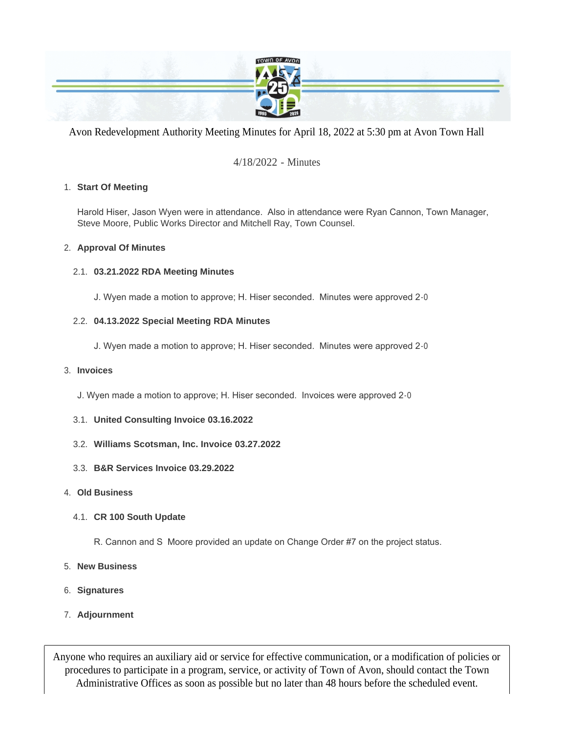

Avon Redevelopment Authority Meeting Minutes for April 18, 2022 at 5:30 pm at Avon Town Hall

# 4/18/2022 - Minutes

## **Start Of Meeting** 1.

Harold Hiser, Jason Wyen were in attendance. Also in attendance were Ryan Cannon, Town Manager, Steve Moore, Public Works Director and Mitchell Ray, Town Counsel.

### **Approval Of Minutes** 2.

## **03.21.2022 RDA Meeting Minutes** 2.1.

J. Wyen made a motion to approve; H. Hiser seconded. Minutes were approved 2-0

### **04.13.2022 Special Meeting RDA Minutes** 2.2.

J. Wyen made a motion to approve; H. Hiser seconded. Minutes were approved 2-0

#### **Invoices** 3.

- J. Wyen made a motion to approve; H. Hiser seconded. Invoices were approved 2-0
- **United Consulting Invoice 03.16.2022** 3.1.
- **Williams Scotsman, Inc. Invoice 03.27.2022** 3.2.
- **B&R Services Invoice 03.29.2022** 3.3.

#### **Old Business** 4.

## **CR 100 South Update** 4.1.

- R. Cannon and S Moore provided an update on Change Order #7 on the project status.
- **New Business** 5.
- **Signatures** 6.
- **Adjournment** 7.

Anyone who requires an auxiliary aid or service for effective communication, or a modification of policies or procedures to participate in a program, service, or activity of Town of Avon, should contact the Town Administrative Offices as soon as possible but no later than 48 hours before the scheduled event.